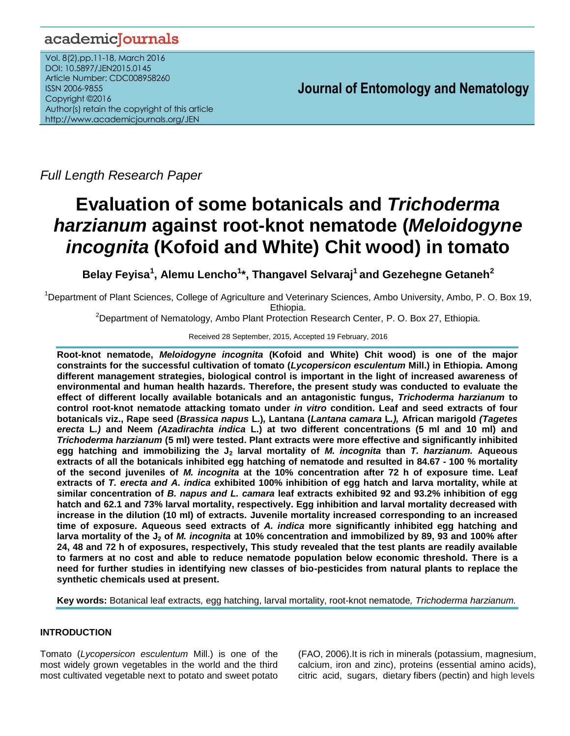# academicJournals

Vol. 8(2),pp.11-18, March 2016 DOI: 10.5897/JEN2015.0145 Article Number: CDC008958260 ISSN 2006-9855 Copyright ©2016 Author(s) retain the copyright of this article http://www.academicjournals.org/JEN

**Journal of Entomology and Nematology**

*Full Length Research Paper*

# **Evaluation of some botanicals and** *Trichoderma harzianum* **against root-knot nematode (***Meloidogyne incognita* **(Kofoid and White) Chit wood) in tomato**

**Belay Feyisa<sup>1</sup> , Alemu Lencho<sup>1</sup> \*, Thangavel Selvaraj<sup>1</sup>and Gezehegne Getaneh<sup>2</sup>**

<sup>1</sup>Department of Plant Sciences, College of Agriculture and Veterinary Sciences, Ambo University, Ambo, P. O. Box 19, Ethiopia.

<sup>2</sup>Department of Nematology, Ambo Plant Protection Research Center, P. O. Box 27, Ethiopia.

Received 28 September, 2015, Accepted 19 February, 2016

**Root-knot nematode,** *Meloidogyne incognita* **(Kofoid and White) Chit wood) is one of the major constraints for the successful cultivation of tomato (***Lycopersicon esculentum* **Mill.) in Ethiopia. Among different management strategies, biological control is important in the light of increased awareness of environmental and human health hazards. Therefore, the present study was conducted to evaluate the effect of different locally available botanicals and an antagonistic fungus,** *Trichoderma harzianum* **to control root-knot nematode attacking tomato under** *in vitro* **condition. Leaf and seed extracts of four botanicals viz., Rape seed (***Brassica napus* **L.)***,* **Lantana (***Lantana camara* **L***.),* **African marigold** *(Tagetes erecta* **L***.)* **and Neem** *(Azadirachta indica* **L.) at two different concentrations (5 ml and 10 ml) and**  *Trichoderma harzianum* **(5 ml) were tested. Plant extracts were more effective and significantly inhibited egg hatching and immobilizing the J<sup>2</sup> larval mortality of** *M. incognita* **than** *T. harzianum.* **Aqueous extracts of all the botanicals inhibited egg hatching of nematode and resulted in 84.67 - 100 % mortality of the second juveniles of** *M. incognita* **at the 10% concentration after 72 h of exposure time. Leaf extracts of** *T. erecta and A. indica* **exhibited 100% inhibition of egg hatch and larva mortality, while at similar concentration of** *B. napus and L. camara* **leaf extracts exhibited 92 and 93.2% inhibition of egg hatch and 62.1 and 73% larval mortality, respectively. Egg inhibition and larval mortality decreased with increase in the dilution (10 ml) of extracts***.* **Juvenile mortality increased corresponding to an increased time of exposure. Aqueous seed extracts of** *A. indica* **more significantly inhibited egg hatching and larva mortality of the J<sup>2</sup> of** *M. incognita* **at 10% concentration and immobilized by 89, 93 and 100% after 24, 48 and 72 h of exposures, respectively, This study revealed that the test plants are readily available to farmers at no cost and able to reduce nematode population below economic threshold. There is a need for further studies in identifying new classes of bio-pesticides from natural plants to replace the synthetic chemicals used at present.**

**Key words:** Botanical leaf extracts*,* egg hatching, larval mortality, root-knot nematode*, Trichoderma harzianum.*

# **INTRODUCTION**

Tomato (*Lycopersicon esculentum* Mill.) is one of the most widely grown vegetables in the world and the third most cultivated vegetable next to potato and sweet potato

(FAO, 2006).It is rich in minerals (potassium, magnesium, calcium, iron and zinc), proteins (essential amino acids), citric acid, sugars, dietary fibers (pectin) and high levels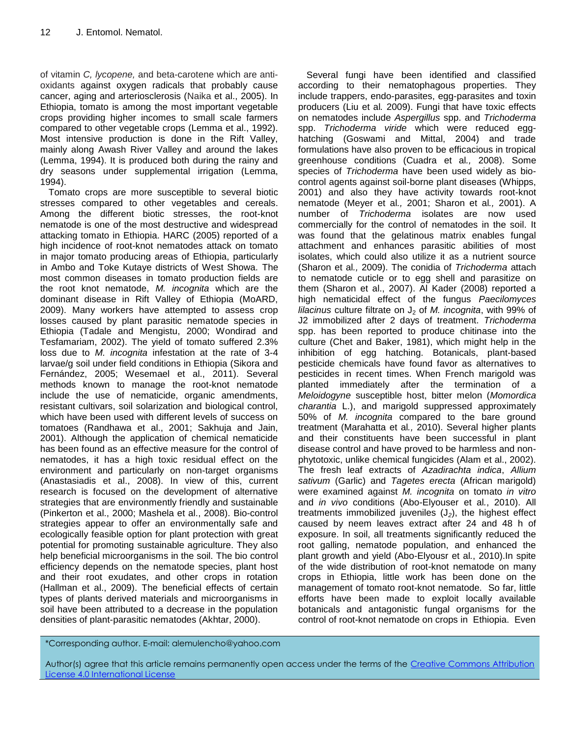of vitamin *C, lycopene,* and beta-carotene which are antioxidants against oxygen radicals that probably cause cancer, aging and arteriosclerosis (Naika et al., 2005). In Ethiopia, tomato is among the most important vegetable crops providing higher incomes to small scale farmers compared to other vegetable crops (Lemma et al., 1992). Most intensive production is done in the Rift Valley, mainly along Awash River Valley and around the lakes (Lemma, 1994). It is produced both during the rainy and dry seasons under supplemental irrigation (Lemma, 1994).

Tomato crops are more susceptible to several biotic stresses compared to other vegetables and cereals. Among the different biotic stresses, the root-knot nematode is one of the most destructive and widespread attacking tomato in Ethiopia. HARC (2005) reported of a high incidence of root-knot nematodes attack on tomato in major tomato producing areas of Ethiopia, particularly in Ambo and Toke Kutaye districts of West Showa. The most common diseases in tomato production fields are the root knot nematode, *M. incognita* which are the dominant disease in Rift Valley of Ethiopia (MoARD, 2009). Many workers have attempted to assess crop losses caused by plant parasitic nematode species in Ethiopia (Tadale and Mengistu, 2000; Wondirad and Tesfamariam, 2002). The yield of tomato suffered 2.3% loss due to *M. incognita* infestation at the rate of 3-4 larvae/g soil under field conditions in Ethiopia (Sikora and Fernández, 2005; Wesemael et al., 2011). Several methods known to manage the root-knot nematode include the use of nematicide, organic amendments, resistant cultivars, soil solarization and biological control, which have been used with different levels of success on tomatoes (Randhawa et al., 2001; Sakhuja and Jain, 2001). Although the application of chemical nematicide has been found as an effective measure for the control of nematodes, it has a high toxic residual effect on the environment and particularly on non-target organisms (Anastasiadis et al., 2008). In view of this, current research is focused on the development of alternative strategies that are environmently friendly and sustainable (Pinkerton et al., 2000; Mashela et al., 2008). Bio-control strategies appear to offer an environmentally safe and ecologically feasible option for plant protection with great potential for promoting sustainable agriculture. They also help beneficial microorganisms in the soil. The bio control efficiency depends on the nematode species, plant host and their root exudates, and other crops in rotation (Hallman et al., 2009). The beneficial effects of certain types of plants derived materials and microorganisms in soil have been attributed to a decrease in the population densities of plant-parasitic nematodes (Akhtar, 2000).

Several fungi have been identified and classified according to their nematophagous properties. They include trappers, endo-parasites, egg-parasites and toxin producers (Liu et al*.* 2009). Fungi that have toxic effects on nematodes include *Aspergillus* spp. and *Trichoderma*  spp. *Trichoderma viride* which were reduced egghatching (Goswami and Mittal, 2004) and trade formulations have also proven to be efficacious in tropical greenhouse conditions (Cuadra et al*.,* 2008). Some species of *Trichoderma* have been used widely as biocontrol agents against soil-borne plant diseases (Whipps, 2001) and also they have activity towards root-knot nematode (Meyer et al*.,* 2001; Sharon et al*.,* 2001). A number of *Trichoderma* isolates are now used commercially for the control of nematodes in the soil. It was found that the gelatinous matrix enables fungal attachment and enhances parasitic abilities of most isolates, which could also utilize it as a nutrient source (Sharon et al*.,* 2009). The conidia of *Trichoderma* attach to nematode cuticle or to egg shell and parasitize on them (Sharon et al., 2007). Al Kader (2008) reported a high nematicidal effect of the fungus *Paecilomyces lilacinus* culture filtrate on J<sub>2</sub> of *M. incognita*, with 99% of J2 immobilized after 2 days of treatment. *Trichoderma*  spp. has been reported to produce chitinase into the culture (Chet and Baker, 1981), which might help in the inhibition of egg hatching. Botanicals, plant-based pesticide chemicals have found favor as alternatives to pesticides in recent times. When French marigold was planted immediately after the termination of a *Meloidogyne* susceptible host, bitter melon (*Momordica charantia* L.), and marigold suppressed approximately 50% of *M. incognita* compared to the bare ground treatment (Marahatta et al*.,* 2010). Several higher plants and their constituents have been successful in plant disease control and have proved to be harmless and nonphytotoxic, unlike chemical fungicides (Alam et al., 2002). The fresh leaf extracts of *Azadirachta indica*, *Allium sativum* (Garlic) and *Tagetes erecta* (African marigold) were examined against *M. incognita* on tomato *in vitro* and *in vivo* conditions (Abo-Elyouser et al*.*, 2010). All treatments immobilized juveniles (J*2*), the highest effect caused by neem leaves extract after 24 and 48 h of exposure. In soil, all treatments significantly reduced the root galling, nematode population, and enhanced the plant growth and yield (Abo-Elyousr et al*.*, 2010).In spite of the wide distribution of root-knot nematode on many crops in Ethiopia, little work has been done on the management of tomato root-knot nematode. So far, little efforts have been made to exploit locally available botanicals and antagonistic fungal organisms for the control of root-knot nematode on crops in Ethiopia. Even

# \*Corresponding author. E-mail: alemulencho@yahoo.com

Author(s) agree that this article remains permanently open access under the terms of the Creative Commons Attribution [License 4.0 International License](http://creativecommons.org/licenses/by/4.0/deed.en_US)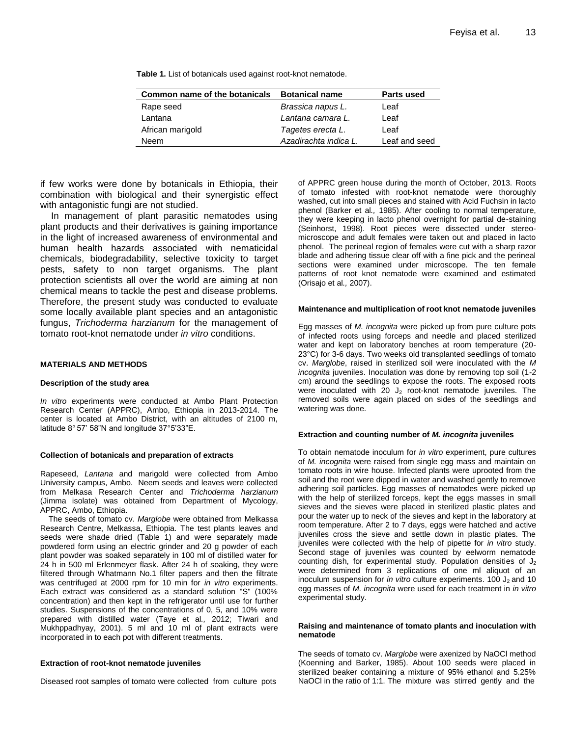| Common name of the botanicals | <b>Botanical name</b> | <b>Parts used</b> |
|-------------------------------|-----------------------|-------------------|
| Rape seed                     | Brassica napus L.     | Leaf              |
| Lantana                       | Lantana camara L.     | Leaf              |
| African marigold              | Tagetes erecta L.     | Leaf              |
| Neem                          | Azadirachta indica L. | Leaf and seed     |

**Table 1.** List of botanicals used against root-knot nematode.

if few works were done by botanicals in Ethiopia, their combination with biological and their synergistic effect with antagonistic fungi are not studied.

In management of plant parasitic nematodes using plant products and their derivatives is gaining importance in the light of increased awareness of environmental and human health hazards associated with nematicidal chemicals, biodegradability, selective toxicity to target pests, safety to non target organisms. The plant protection scientists all over the world are aiming at non chemical means to tackle the pest and disease problems. Therefore, the present study was conducted to evaluate some locally available plant species and an antagonistic fungus, *Trichoderma harzianum* for the management of tomato root-knot nematode under *in vitro* conditions.

#### **MATERIALS AND METHODS**

#### **Description of the study area**

*In vitro* experiments were conducted at Ambo Plant Protection Research Center (APPRC), Ambo, Ethiopia in 2013-2014. The center is located at Ambo District, with an altitudes of 2100 m, latitude 8° 57' 58"N and longitude 37°5'33"E.

#### **Collection of botanicals and preparation of extracts**

Rapeseed, *Lantana* and marigold were collected from Ambo University campus, Ambo. Neem seeds and leaves were collected from Melkasa Research Center and *Trichoderma harzianum*  (Jimma isolate) was obtained from Department of Mycology, APPRC, Ambo, Ethiopia.

The seeds of tomato cv. *Marglobe* were obtained from Melkassa Research Centre, Melkassa, Ethiopia. The test plants leaves and seeds were shade dried (Table 1) and were separately made powdered form using an electric grinder and 20 g powder of each plant powder was soaked separately in 100 ml of distilled water for 24 h in 500 ml Erlenmeyer flask. After 24 h of soaking, they were filtered through Whatmann No.1 filter papers and then the filtrate was centrifuged at 2000 rpm for 10 min for *in vitro* experiments. Each extract was considered as a standard solution "S" (100% concentration) and then kept in the refrigerator until use for further studies. Suspensions of the concentrations of 0, 5, and 10% were prepared with distilled water (Taye et al*.,* 2012; Tiwari and Mukhppadhyay, 2001). 5 ml and 10 ml of plant extracts were incorporated in to each pot with different treatments.

#### **Extraction of root-knot nematode juveniles**

Diseased root samples of tomato were collected from culture pots

of APPRC green house during the month of October, 2013. Roots of tomato infested with root-knot nematode were thoroughly washed, cut into small pieces and stained with Acid Fuchsin in lacto phenol (Barker et al*.,* 1985). After cooling to normal temperature, they were keeping in lacto phenol overnight for partial de-staining (Seinhorst, 1998). Root pieces were dissected under stereomicroscope and adult females were taken out and placed in lacto phenol. The perineal region of females were cut with a sharp razor blade and adhering tissue clear off with a fine pick and the perineal sections were examined under microscope. The ten female patterns of root knot nematode were examined and estimated (Orisajo et al*.,* 2007).

#### **Maintenance and multiplication of root knot nematode juveniles**

Egg masses of *M. incognita* were picked up from pure culture pots of infected roots using forceps and needle and placed sterilized water and kept on laboratory benches at room temperature (20- 23°C) for 3-6 days. Two weeks old transplanted seedlings of tomato cv. *Marglobe*, raised in sterilized soil were inoculated with the *M incognita* juveniles. Inoculation was done by removing top soil (1-2 cm) around the seedlings to expose the roots. The exposed roots were inoculated with 20  $J_2$  root-knot nematode juveniles. The removed soils were again placed on sides of the seedlings and watering was done.

#### **Extraction and counting number of** *M. incognita* **juveniles**

To obtain nematode inoculum for *in vitro* experiment, pure cultures of *M. incognita* were raised from single egg mass and maintain on tomato roots in wire house. Infected plants were uprooted from the soil and the root were dipped in water and washed gently to remove adhering soil particles. Egg masses of nematodes were picked up with the help of sterilized forceps, kept the eggs masses in small sieves and the sieves were placed in sterilized plastic plates and pour the water up to neck of the sieves and kept in the laboratory at room temperature. After 2 to 7 days, eggs were hatched and active juveniles cross the sieve and settle down in plastic plates. The juveniles were collected with the help of pipette for *in vitro* study. Second stage of juveniles was counted by eelworm nematode counting dish, for experimental study. Population densities of  $J_2$ were determined from 3 replications of one ml aliquot of an inoculum suspension for *in vitro* culture experiments. 100  $J_2$  and 10 egg masses of *M. incognita* were used for each treatment in *in vitro* experimental study.

#### **Raising and maintenance of tomato plants and inoculation with nematode**

The seeds of tomato cv. *Marglobe* were axenized by NaOCl method (Koenning and Barker, 1985). About 100 seeds were placed in sterilized beaker containing a mixture of 95% ethanol and 5.25% NaOCl in the ratio of 1:1. The mixture was stirred gently and the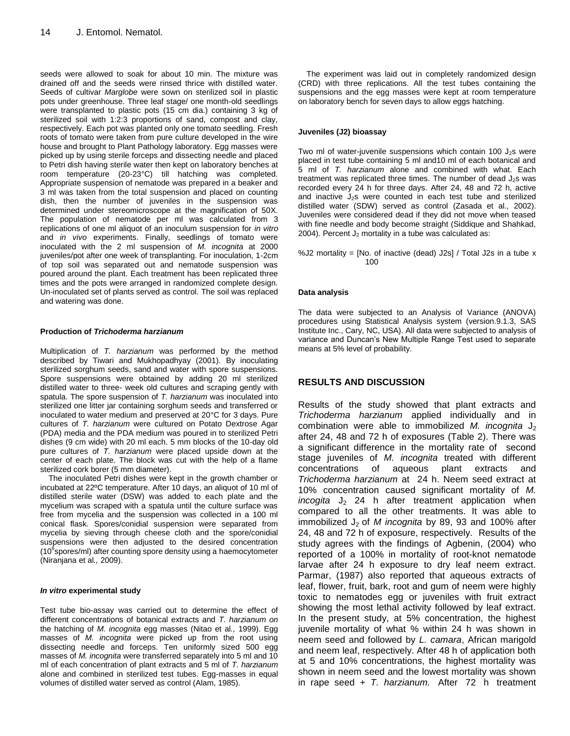seeds were allowed to soak for about 10 min. The mixture was drained off and the seeds were rinsed thrice with distilled water. Seeds of cultivar *Marglobe* were sown on sterilized soil in plastic pots under greenhouse. Three leaf stage/ one month-old seedlings were transplanted to plastic pots (15 cm dia.) containing 3 kg of sterilized soil with 1:2:3 proportions of sand, compost and clay, respectively. Each pot was planted only one tomato seedling. Fresh roots of tomato were taken from pure culture developed in the wire house and brought to Plant Pathology laboratory. Egg masses were picked up by using sterile forceps and dissecting needle and placed to Petri dish having sterile water then kept on laboratory benches at room temperature (20-23°C) till hatching was completed. Appropriate suspension of nematode was prepared in a beaker and 3 ml was taken from the total suspension and placed on counting dish, then the number of juveniles in the suspension was determined under stereomicroscope at the magnification of 50X. The population of nematode per ml was calculated from 3 replications of one ml aliquot of an inoculum suspension for *in vitro* and *in vivo* experiments. Finally, seedlings of tomato were inoculated with the 2 ml suspension of *M. incognita* at 2000 juveniles/pot after one week of transplanting. For inoculation, 1-2cm of top soil was separated out and nematode suspension was poured around the plant. Each treatment has been replicated three times and the pots were arranged in randomized complete design. Un-inoculated set of plants served as control. The soil was replaced and watering was done.

#### **Production of** *Trichoderma harzianum*

Multiplication of *T. harzianum* was performed by the method described by Tiwari and Mukhopadhyay (2001). By inoculating sterilized sorghum seeds, sand and water with spore suspensions. Spore suspensions were obtained by adding 20 ml sterilized distilled water to three- week old cultures and scraping gently with spatula. The spore suspension of *T. harzianum* was inoculated into sterilized one litter jar containing sorghum seeds and transferred or inoculated to water medium and preserved at 20°C for 3 days. Pure cultures of *T. harzianum* were cultured on Potato Dextrose Agar (PDA) media and the PDA medium was poured in to sterilized Petri dishes (9 cm wide) with 20 ml each. 5 mm blocks of the 10-day old pure cultures of *T. harzianum* were placed upside down at the center of each plate. The block was cut with the help of a flame sterilized cork borer (5 mm diameter).

The inoculated Petri dishes were kept in the growth chamber or incubated at 22ºC temperature. After 10 days, an aliquot of 10 ml of distilled sterile water (DSW) was added to each plate and the mycelium was scraped with a spatula until the culture surface was free from mycelia and the suspension was collected in a 100 ml conical flask. Spores/conidial suspension were separated from mycelia by sieving through cheese cloth and the spore/conidial suspensions were then adjusted to the desired concentration (10<sup>6</sup> spores/ml) after counting spore density using a haemocytometer (Niranjana et al*.,* 2009).

#### *In vitro* **experimental study**

Test tube bio-assay was carried out to determine the effect of different concentrations of botanical extracts and *T. harzianum on* the hatching of *M. incognita* egg masses (Nitao et al*.,* 1999). Egg masses of *M. incognita* were picked up from the root using dissecting needle and forceps. Ten uniformly sized 500 egg masses of *M. incognita* were transferred separately into 5 ml and 10 ml of each concentration of plant extracts and 5 ml of *T. harzianum* alone and combined in sterilized test tubes. Egg-masses in equal volumes of distilled water served as control (Alam, 1985).

The experiment was laid out in completely randomized design (CRD) with three replications. All the test tubes containing the suspensions and the egg masses were kept at room temperature on laboratory bench for seven days to allow eggs hatching.

#### **Juveniles (J2) bioassay**

Two ml of water-juvenile suspensions which contain 100  $J_2$ s were placed in test tube containing 5 ml and10 ml of each botanical and 5 ml of *T. harzianum* alone and combined with what. Each treatment was replicated three times. The number of dead  $J_2$ s was recorded every 24 h for three days. After 24, 48 and 72 h, active and inactive  $J_2s$  were counted in each test tube and sterilized distilled water (SDW) served as control (Zasada et al*.,* 2002). Juveniles were considered dead if they did not move when teased with fine needle and body become straight (Siddique and Shahkad, 2004). Percent  $J_2$  mortality in a tube was calculated as:

%J2 mortality =  $[No. of inactive (dead) J2s] / Total J2s in a tube x$ 100

#### **Data analysis**

The data were subjected to an Analysis of Variance (ANOVA) procedures using Statistical Analysis system (version.9.1.3, SAS Institute Inc., Cary, NC, USA). All data were subjected to analysis of variance and Duncan's New Multiple Range Test used to separate means at 5% level of probability.

## **RESULTS AND DISCUSSION**

Results of the study showed that plant extracts and *Trichoderma harzianum* applied individually and in combination were able to immobilized  $M$ . *incognita*  $J_2$ after 24, 48 and 72 h of exposures (Table 2). There was a significant difference in the mortality rate of second stage juveniles of *M. incognita* treated with different concentrations of aqueous plant extracts and *Trichoderma harzianum* at 24 h. Neem seed extract at 10% concentration caused significant mortality of *M.*   $incogita$   $J_2$  24 h after treatment application when compared to all the other treatments. It was able to immobilized J<sub>2</sub> of *M incognita* by 89, 93 and 100% after 24, 48 and 72 h of exposure, respectively. Results of the study agrees with the findings of Agbenin, (2004) who reported of a 100% in mortality of root-knot nematode larvae after 24 h exposure to dry leaf neem extract. Parmar, (1987) also reported that aqueous extracts of leaf, flower, fruit, bark, root and gum of neem were highly toxic to nematodes egg or juveniles with fruit extract showing the most lethal activity followed by leaf extract. In the present study, at 5% concentration, the highest juvenile mortality of what % within 24 h was shown in neem seed and followed by *L. camara*, African marigold and neem leaf, respectively. After 48 h of application both at 5 and 10% concentrations, the highest mortality was shown in neem seed and the lowest mortality was shown in rape seed + *T. harzianum.* After 72 h treatment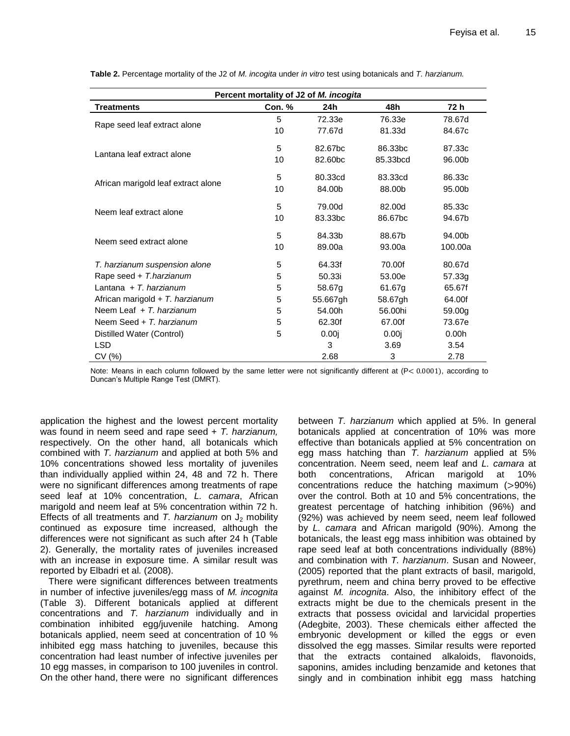| Percent mortality of J2 of M. incogita |        |          |          |         |  |  |
|----------------------------------------|--------|----------|----------|---------|--|--|
| <b>Treatments</b>                      | Con. % | 24h      | 48h      | 72 h    |  |  |
| Rape seed leaf extract alone           | 5      | 72.33e   | 76.33e   | 78.67d  |  |  |
|                                        | 10     | 77.67d   | 81.33d   | 84.67c  |  |  |
| Lantana leaf extract alone             | 5      | 82.67bc  | 86.33bc  | 87.33c  |  |  |
|                                        | 10     | 82.60bc  | 85.33bcd | 96.00b  |  |  |
| African marigold leaf extract alone    | 5      | 80.33cd  | 83.33cd  | 86.33c  |  |  |
|                                        | 10     | 84.00b   | 88.00b   | 95.00b  |  |  |
| Neem leaf extract alone                | 5      | 79.00d   | 82.00d   | 85.33c  |  |  |
|                                        | 10     | 83.33bc  | 86.67bc  | 94.67b  |  |  |
| Neem seed extract alone                | 5      | 84.33b   | 88.67b   | 94.00b  |  |  |
|                                        | 10     | 89.00a   | 93.00a   | 100.00a |  |  |
| T. harzianum suspension alone          | 5      | 64.33f   | 70.00f   | 80.67d  |  |  |
| Rape seed + T.harzianum                | 5      | 50.33i   | 53.00e   | 57.33g  |  |  |
| Lantana + $T$ . harzianum              | 5      | 58.67g   | 61.67g   | 65.67f  |  |  |
| African marigold $+ T$ . harzianum     | 5      | 55.667gh | 58.67gh  | 64.00f  |  |  |
| Neem Leaf + T. harzianum               | 5      | 54.00h   | 56.00hi  | 59.00g  |  |  |
| Neem Seed + T. harzianum               | 5      | 62.30f   | 67.00f   | 73.67e  |  |  |
| Distilled Water (Control)              | 5      | 0.00i    | 0.00j    | 0.00h   |  |  |
| LSD.                                   |        | 3        | 3.69     | 3.54    |  |  |
| CV (%)                                 |        | 2.68     | 3        | 2.78    |  |  |

**Table 2.** Percentage mortality of the J2 of *M. incogita* under *in vitro* test using botanicals and *T. harzianum.*

Note: Means in each column followed by the same letter were not significantly different at  $(P < 0.0001)$ , according to Duncan's Multiple Range Test (DMRT).

application the highest and the lowest percent mortality was found in neem seed and rape seed + *T. harzianum,* respectively. On the other hand, all botanicals which combined with *T. harzianum* and applied at both 5% and 10% concentrations showed less mortality of juveniles than individually applied within 24, 48 and 72 h. There were no significant differences among treatments of rape seed leaf at 10% concentration, *L. camara*, African marigold and neem leaf at 5% concentration within 72 h. Effects of all treatments and *T. harzianum* on  $J_2$  mobility continued as exposure time increased, although the differences were not significant as such after 24 h (Table 2). Generally, the mortality rates of juveniles increased with an increase in exposure time. A similar result was reported by Elbadri et al*.* (2008).

There were significant differences between treatments in number of infective juveniles/egg mass of *M. incognita* (Table 3). Different botanicals applied at different concentrations and *T. harzianum* individually and in combination inhibited egg/juvenile hatching. Among botanicals applied, neem seed at concentration of 10 % inhibited egg mass hatching to juveniles, because this concentration had least number of infective juveniles per 10 egg masses, in comparison to 100 juveniles in control. On the other hand, there were no significant differences

between *T. harzianum* which applied at 5%. In general botanicals applied at concentration of 10% was more effective than botanicals applied at 5% concentration on egg mass hatching than *T. harzianum* applied at 5% concentration. Neem seed, neem leaf and *L. camara* at both concentrations, African marigold at 10% concentrations reduce the hatching maximum  $(>90%)$ over the control. Both at 10 and 5% concentrations, the greatest percentage of hatching inhibition (96%) and (92%) was achieved by neem seed, neem leaf followed by *L. camara* and African marigold (90%). Among the botanicals, the least egg mass inhibition was obtained by rape seed leaf at both concentrations individually (88%) and combination with *T. harzianum*. Susan and Noweer, (2005) reported that the plant extracts of basil, marigold, pyrethrum, neem and china berry proved to be effective against *M. incognita*. Also, the inhibitory effect of the extracts might be due to the chemicals present in the extracts that possess ovicidal and larvicidal properties (Adegbite, 2003). These chemicals either affected the embryonic development or killed the eggs or even dissolved the egg masses. Similar results were reported that the extracts contained alkaloids, flavonoids, saponins, amides including benzamide and ketones that singly and in combination inhibit egg mass hatching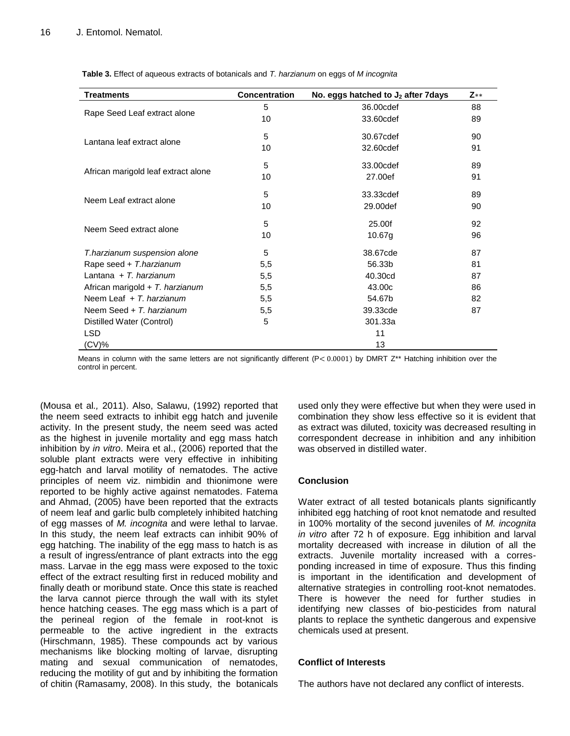| <b>Table 3.</b> Effect of aqueous extracts of botanicals and T. harzianum on eggs of M incognita |  |  |  |
|--------------------------------------------------------------------------------------------------|--|--|--|
|--------------------------------------------------------------------------------------------------|--|--|--|

| Treatments                          | <b>Concentration</b> | No. eggs hatched to $J_2$ after 7 days | $Z**$ |
|-------------------------------------|----------------------|----------------------------------------|-------|
| Rape Seed Leaf extract alone        | 5                    | 36,00cdef                              | 88    |
|                                     | 10                   | 33.60cdef                              | 89    |
| Lantana leaf extract alone          | 5                    | 30.67cdef                              | 90    |
|                                     | 10                   | 32,60cdef                              | 91    |
| African marigold leaf extract alone | 5                    | 33,00cdef                              | 89    |
|                                     | 10                   | 27.00ef                                | 91    |
| Neem Leaf extract alone             | 5                    | 33.33cdef                              | 89    |
|                                     | 10                   | 29.00def                               | 90    |
| Neem Seed extract alone             | 5                    | 25.00f                                 | 92    |
|                                     | 10                   | 10.67g                                 | 96    |
| T.harzianum suspension alone        | 5                    | 38.67cde                               | 87    |
| Rape seed + T.harzianum             | 5,5                  | 56.33b                                 | 81    |
| Lantana + $T$ . harzianum           | 5,5                  | 40.30cd                                | 87    |
| African marigold + T. harzianum     | 5,5                  | 43.00c                                 | 86    |
| Neem Leaf $+T$ . harzianum          | 5,5                  | 54.67b                                 | 82    |
| Neem Seed + T. harzianum            | 5,5                  | 39.33cde                               | 87    |
| Distilled Water (Control)           | 5                    | 301.33a                                |       |
| LSD.                                |                      | 11                                     |       |
| (CV)%                               |                      | 13                                     |       |

Means in column with the same letters are not significantly different  $(P < 0.0001)$  by DMRT Z\*\* Hatching inhibition over the control in percent.

(Mousa et al*.,* 2011). Also, Salawu, (1992) reported that the neem seed extracts to inhibit egg hatch and juvenile activity. In the present study, the neem seed was acted as the highest in juvenile mortality and egg mass hatch inhibition by *in vitro*. Meira et al., (2006) reported that the soluble plant extracts were very effective in inhibiting egg-hatch and larval motility of nematodes. The active principles of neem viz. nimbidin and thionimone were reported to be highly active against nematodes. Fatema and Ahmad, (2005) have been reported that the extracts of neem leaf and garlic bulb completely inhibited hatching of egg masses of *M. incognita* and were lethal to larvae. In this study, the neem leaf extracts can inhibit 90% of egg hatching. The inability of the egg mass to hatch is as a result of ingress/entrance of plant extracts into the egg mass. Larvae in the egg mass were exposed to the toxic effect of the extract resulting first in reduced mobility and finally death or moribund state. Once this state is reached the larva cannot pierce through the wall with its stylet hence hatching ceases. The egg mass which is a part of the perineal region of the female in root-knot is permeable to the active ingredient in the extracts (Hirschmann, 1985). These compounds act by various mechanisms like blocking molting of larvae, disrupting mating and sexual communication of nematodes, reducing the motility of gut and by inhibiting the formation of chitin (Ramasamy, 2008). In this study, the botanicals used only they were effective but when they were used in combination they show less effective so it is evident that as extract was diluted, toxicity was decreased resulting in correspondent decrease in inhibition and any inhibition was observed in distilled water.

# **Conclusion**

Water extract of all tested botanicals plants significantly inhibited egg hatching of root knot nematode and resulted in 100% mortality of the second juveniles of *M. incognita in vitro* after 72 h of exposure. Egg inhibition and larval mortality decreased with increase in dilution of all the extracts. Juvenile mortality increased with a corresponding increased in time of exposure. Thus this finding is important in the identification and development of alternative strategies in controlling root-knot nematodes. There is however the need for further studies in identifying new classes of bio-pesticides from natural plants to replace the synthetic dangerous and expensive chemicals used at present.

## **Conflict of Interests**

The authors have not declared any conflict of interests.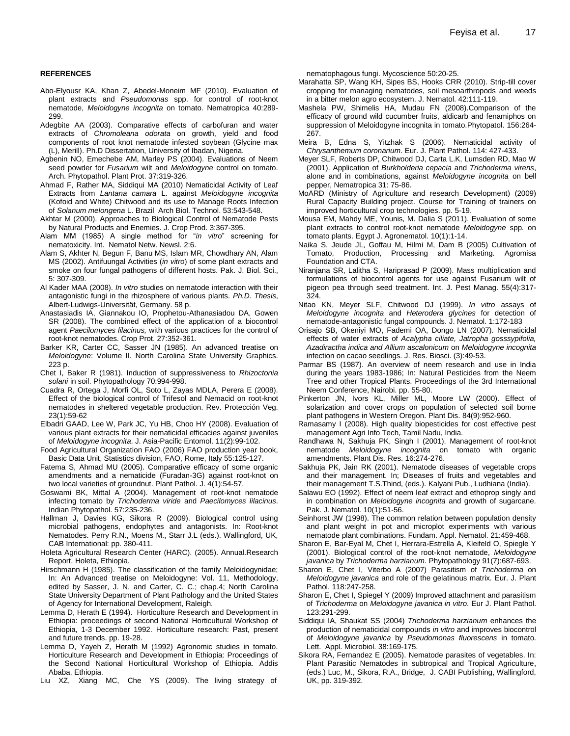#### **REFERENCES**

- Abo-Elyousr KA, Khan Z, Abedel-Moneim MF (2010). Evaluation of plant extracts and *Pseudomonas* spp. for control of root-knot nematode, *Meloidogyne incognita* on tomato. Nematropica 40:289- 299.
- Adegbite AA (2003). Comparative effects of carbofuran and water extracts of *Chromoleana odorata* on growth, yield and food components of root knot nematode infested soybean (Glycine max (L), Merill). Ph.D Dissertation, University of Ibadan, Nigeria.
- Agbenin NO, Emechebe AM, Marley PS (2004). Evaluations of Neem seed powder for *Fusarium* wilt and *Meloidogyne* control on tomato. Arch. Phytopathol. Plant Prot. 37:319-326.
- Ahmad F, Rather MA, Siddiqui MA (2010) Nematicidal Activity of Leaf Extracts from *Lantana camara* L. against *Meloidogyne incognita*  (Kofoid and White) Chitwood and its use to Manage Roots Infection of *Solanum melongena* L. Brazil Arch Biol. Technol. 53:543-548.
- Akhtar M (2000). Approaches to Biological Control of Nematode Pests by Natural Products and Enemies. J. Crop Prod. 3:367-395.
- Alam MM (1985) A single method for "*in vitro*" screening for nematoxicity. Int. Nematol Netw. Newsl. 2:6.
- Alam S, Akhter N, Begun F, Banu MS, Islam MR, Chowdhary AN, Alam MS (2002). Antifuungal Activities (*in vitro*) of some plant extracts and smoke on four fungal pathogens of different hosts. Pak. J. Biol. Sci., 5: 307-309.
- Al Kader MAA (2008). *In vitro* studies on nematode interaction with their antagonistic fungi in the rhizosphere of various plants. *Ph.D. Thesis*, Albert-Ludwigs-Universität, Germany. 58 p.
- Anastasiadis IA, Giannakou IO, Prophetou-Athanasiadou DA, Gowen SR (2008). The combined effect of the application of a biocontrol agent *Paecilomyces lilacinus,* with various practices for the control of root-knot nematodes. Crop Prot. 27:352-361.
- Barker KR, Carter CC, Sasser JN (1985). An advanced treatise on *Meloidogyne*: Volume II. North Carolina State University Graphics. 223 p.
- Chet I, Baker R (1981). Induction of suppressiveness to *Rhizoctonia solani* in soil. Phytopathology 70:994-998.
- Cuadra R, Ortega J, Morfi OL, Soto L, Zayas MDLA, Perera E (2008). Effect of the biological control of Trifesol and Nemacid on root-knot nematodes in sheltered vegetable production. Rev. Protección Veg. 23(1):59-62
- Elbadri GAAD, Lee W, Park JC, Yu HB, Choo HY (2008). Evaluation of various plant extracts for their nematicidal efficacies against juveniles of *Meloidogyne incognita*. J. Asia-Pacific Entomol. 11(2):99-102.
- Food Agricultural Organization FAO (2006) FAO production year book, Basic Data Unit, Statistics division, FAO, Rome, Italy 55:125-127.
- Fatema S, Ahmad MU (2005). Comparative efficacy of some organic amendments and a nematicide (Furadan-3G) against root-knot on two local varieties of groundnut. Plant Pathol. J. 4(1):54-57.
- Goswami BK, Mittal A (2004). Management of root-knot nematode infecting tomato by *Trichoderma viride* and *Paecilomyces lilacinus*. Indian Phytopathol. 57:235-236.
- Hallman J, Davies KG, Sikora R (2009). Biological control using microbial pathogens, endophytes and antagonists. In: Root-knot Nematodes. Perry R.N., Moens M., Starr J.L (eds.). Wallingford, UK, CAB International: pp. 380-411.
- Holeta Agricultural Research Center (HARC). (2005). Annual.Research Report. Holeta, Ethiopia.
- Hirschmann H (1985). The classification of the family Meloidogynidae; In: An Advanced treatise on Meloidogyne: Vol. 11, Methodology, edited by Sasser, J. N. and Carter, C. C.; chap.4; North Carolina State University Department of Plant Pathology and the United States of Agency for International Development, Raleigh.
- Lemma D, Herath E (1994). Horticulture Research and Development in Ethiopia: proceedings of second National Horticultural Workshop of Ethiopia, 1-3 December 1992. Horticulture research: Past, present and future trends. pp. 19-28.
- Lemma D, Yayeh Z, Herath M (1992) Agronomic studies in tomato. Horticulture Research and Development in Ethiopia: Proceedings of the Second National Horticultural Workshop of Ethiopia. Addis Ababa, Ethiopia.
- Liu XZ, Xiang MC, Che YS (2009). The living strategy of

nematophagous fungi. Mycoscience 50:20-25.

- Marahatta SP, Wang KH, Sipes BS, Hooks CRR (2010). Strip-till cover cropping for managing nematodes, soil mesoarthropods and weeds in a bitter melon agro ecosystem. J. Nematol. 42:111-119.
- Mashela PW, Shimelis HA, Mudau FN (2008).Comparison of the efficacy of ground wild cucumber fruits, aldicarb and fenamiphos on suppression of Meloidogyne incognita in tomato.Phytopatol. 156:264- 267.
- Meira B, Edna S, Yitzhak S (2006). Nematicidal activity of *Chrysanthemum coronarium*. Eur. J. Plant Pathol. 114: 427-433.
- Meyer SLF, Roberts DP, Chitwood DJ, Carta L.K, Lumsden RD, Mao W (2001). Application of *Burkholderia cepacia* and *Trichoderma virens*, alone and in combinations, against *Meloidogyne incognita* on bell pepper, Nematropica 31: 75-86.
- MoARD (Ministry of Agriculture and research Development) (2009) Rural Capacity Building project. Course for Training of trainers on improved horticultural crop technologies. pp. 5-19.
- Mousa EM, Mahdy ME, Younis, M. Dalia S (2011). Evaluation of some plant extracts to control root-knot nematode *Meloidogyne* spp. on tomato plants. Egypt J. Agronematol. 10(1):1-14.
- Naika S, Jeude JL, Goffau M, Hilmi M, Dam B (2005) Cultivation of Tomato, Production, Processing and Marketing. Agromisa Foundation and CTA.
- Niranjana SR, Lalitha S, Hariprasad P (2009). Mass multiplication and formulations of biocontrol agents for use against Fusarium wilt of pigeon pea through seed treatment. Int. J. Pest Manag. 55(4):317- 324.
- Nitao KN, Meyer SLF, Chitwood DJ (1999). *In vitro* assays of *Meloidogyne incognita* and *Heterodera glycines* for detection of nematode-antagonistic fungal compounds. J. Nematol. 1:172-183
- Orisajo SB, Okeniyi MO, Fademi OA, Dongo LN (2007). Nematicidal effects of water extracts of *Acalypha ciliate, Jatropha gosssypifolia, Azadiractha indica and Allium ascalonicum* on *Meloidogyne incognita* infection on cacao seedlings. J. Res. Biosci. (3):49-53.
- Parmar BS (1987). An overview of neem research and use in India during the years 1983-1986; In: Natural Pesticides from the Neem Tree and other Tropical Plants. Proceedings of the 3rd International Neem Conference, Nairobi. pp. 55-80.
- Pinkerton JN, Ivors KL, Miller ML, Moore LW (2000). Effect of solarization and cover crops on population of selected soil borne plant pathogens in Western Oregon. Plant Dis. 84(9):952-960.
- Ramasamy I (2008). High quality biopesticides for cost effective pest management Agri Info Tech, Tamil Nadu, India.
- Randhawa N, Sakhuja PK, Singh I (2001). Management of root-knot nematode *Meloidogyne incognita* on tomato with organic amendments. Plant Dis. Res. 16:274-276.
- Sakhuja PK, Jain RK (2001). Nematode diseases of vegetable crops and their management. In; Diseases of fruits and vegetables and their management T.S.Thind, (eds.). Kalyani Pub., Ludhiana (India).
- Salawu EO (1992). Effect of neem leaf extract and ethoprop singly and in combination on *Meloidogyne incognita* and growth of sugarcane. Pak. J. Nematol. 10(1):51-56.
- Seinhorst JW (1998). The common relation between population density and plant weight in pot and microplot experiments with various nematode plant combinations. Fundam. Appl. Nematol. 21:459-468.
- Sharon E, Bar-Eyal M, Chet I, Herrara-Estrella A, Kleifeld O, Spiegle Y (2001). Biological control of the root-knot nematode, *Meloidogyne javanica* by *Trichoderma harzianum*. Phytopathology 91(7):687-693.
- Sharon E, Chet I, Viterbo A (2007) Parasitism of *Trichoderma* on *Meloidogyne javanica* and role of the gelatinous matrix. Eur. J. Plant Pathol. 118:247-258.
- Sharon E, Chet I, Spiegel Y (2009) Improved attachment and parasitism of *Trichoderma* on *Meloidogyne javanica in vitro*. Eur J. Plant Pathol. 123:291-299.
- Siddiqui IA, Shaukat SS (2004) *Trichoderma harzianum* enhances the production of nematicidal compounds *in vitro* and improves biocontrol of *Meloidogyne javanica* by *Pseudomonas fluorescens* in tomato. Lett. Appl. Microbiol. 38:169-175.
- Sikora RA, Fernandez E (2005). Nematode parasites of vegetables. In: Plant Parasitic Nematodes in subtropical and Tropical Agriculture, (eds.) Luc, M., Sikora, R.A., Bridge, J. CABI Publishing, Wallingford, UK, pp. 319-392.